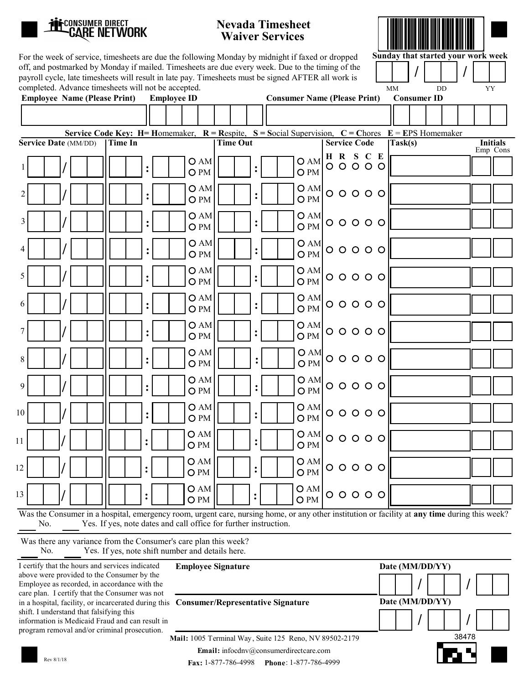

10

12

13

:

/

O AM O PM

O AM

| <b>LEE</b> CONSUMER DIRECT<br><b>CARE NETWORK</b> |                                                                                                                                                                                                                                                                                                                                                                    | <b>Nevada Timesheet</b><br><b>Waiver Services</b> |                         |                                     |                                                       |                 |
|---------------------------------------------------|--------------------------------------------------------------------------------------------------------------------------------------------------------------------------------------------------------------------------------------------------------------------------------------------------------------------------------------------------------------------|---------------------------------------------------|-------------------------|-------------------------------------|-------------------------------------------------------|-----------------|
|                                                   | For the week of service, timesheets are due the following Monday by midnight if faxed or dropped<br>off, and postmarked by Monday if mailed. Timesheets are due every week. Due to the timing of the<br>payroll cycle, late timesheets will result in late pay. Timesheets must be signed AFTER all work is<br>completed. Advance timesheets will not be accepted. |                                                   |                         |                                     | Sunday that started your work week<br><b>MM</b><br>DD | YY              |
| <b>Employee Name (Please Print)</b>               | <b>Employee ID</b>                                                                                                                                                                                                                                                                                                                                                 |                                                   |                         | <b>Consumer Name (Please Print)</b> | <b>Consumer ID</b>                                    |                 |
|                                                   |                                                                                                                                                                                                                                                                                                                                                                    |                                                   |                         |                                     |                                                       |                 |
| Service Date (MM/DD)                              | Service Code Key: H= Homemaker, $R =$ Respite, $S =$ Social Supervision, $C =$ Chores $E =$ EPS Homemaker<br><b>Time In</b>                                                                                                                                                                                                                                        | <b>Time Out</b>                                   |                         | <b>Service Code</b>                 | Task(s)                                               | <b>Initials</b> |
| 1                                                 | OAM<br>$\ddot{\cdot}$<br>O PM                                                                                                                                                                                                                                                                                                                                      | $\ddot{\cdot}$                                    | OAM<br>O <sub>PM</sub>  | HRSCE<br>$00000$                    |                                                       | Emp Cons        |
| $\overline{2}$                                    | OAM<br>$\ddot{\cdot}$<br>O PM                                                                                                                                                                                                                                                                                                                                      | $\ddot{\cdot}$                                    | OAM<br>O PM             | $00000$                             |                                                       |                 |
| 3                                                 | O AM<br>$\ddot{\cdot}$<br>O PM                                                                                                                                                                                                                                                                                                                                     | $\ddot{\cdot}$                                    | OAM<br>O <sub>PM</sub>  | $00000$                             |                                                       |                 |
| 4                                                 | OAM<br>$\ddot{\cdot}$<br>O PM                                                                                                                                                                                                                                                                                                                                      | $\ddot{\cdot}$                                    | OAM<br>O <sub>PM</sub>  | $00000$                             |                                                       |                 |
| 5                                                 | OAM<br>$\ddot{\cdot}$<br>O <sub>PM</sub>                                                                                                                                                                                                                                                                                                                           | $\overset{\bullet}{\bullet}$                      | OAM<br>O PM             | $00000$                             |                                                       |                 |
| 6                                                 | O AM<br>$\ddot{\cdot}$<br>O PM                                                                                                                                                                                                                                                                                                                                     | $\ddot{\cdot}$                                    | OAM<br>OPM              | $00000$                             |                                                       |                 |
| 7                                                 | OAM<br>$\ddot{\cdot}$<br>O PM                                                                                                                                                                                                                                                                                                                                      | $\ddot{\cdot}$                                    | O AM<br>O PM            | $00000$                             |                                                       |                 |
| 8                                                 | OAM<br>$\ddot{\cdot}$<br>O PM                                                                                                                                                                                                                                                                                                                                      | :                                                 | O AM<br>O <sub>PM</sub> | $00000$                             |                                                       |                 |
| 9                                                 | OAM<br>$\ddot{\cdot}$<br>O PM                                                                                                                                                                                                                                                                                                                                      | $\ddot{\cdot}$                                    | O AM<br>O PM            | $00000$                             |                                                       |                 |
| 10                                                | OAM<br>$\ddot{\cdot}$<br>O PM                                                                                                                                                                                                                                                                                                                                      | $\overset{\bullet}{\bullet}$                      | O AM<br>O PM            | $00000$                             |                                                       |                 |
| 11                                                | OAM<br>$\ddot{\cdot}$<br>O PM                                                                                                                                                                                                                                                                                                                                      | :                                                 | O AM<br>O PM            | $00000$                             |                                                       |                 |

 $O$  AM  $O$  O O O O

 $00000$ 

 $\overline{O}$  PM

O AM

Employee Signature Date (MM/DD/YY) : O PM : O PM / I certify that the hours and services indicated Was the Consumer in a hospital, emergency room, urgent care, nursing home, or any other institution or facility at **any time** during this week? No. Yes. If yes, note dates and call office for further instruction. Was there any variance from the Consumer's care plan this week? No. Yes. If yes, note shift number and details here.

:

above were provided to the Consumer by the Employee as recorded, in accordance with the care plan. I certify that the Consumer was not in a hospital, facility, or incarcerated during this shift. I understand that falsifying this information is Medicaid Fraud and can result in program removal and/or criminal prosecution.

| <b>Consumer/Representative Signature</b> |  |
|------------------------------------------|--|
|                                          |  |



Mail: 1005 Terminal Way, Suite 125 Reno, NV 89502-2179 Email: infocdnv@consumerdirectcare.com

Fax: 1-877-786-4998 Phone: 1-877-786-4999